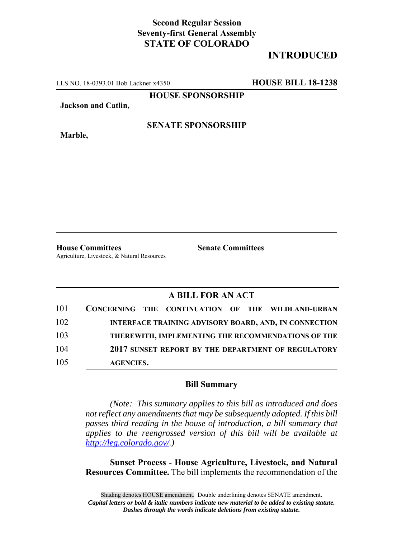## **Second Regular Session Seventy-first General Assembly STATE OF COLORADO**

# **INTRODUCED**

LLS NO. 18-0393.01 Bob Lackner x4350 **HOUSE BILL 18-1238**

**HOUSE SPONSORSHIP**

**Jackson and Catlin,**

**Marble,**

### **SENATE SPONSORSHIP**

**House Committees Senate Committees** Agriculture, Livestock, & Natural Resources

### **A BILL FOR AN ACT**

| 101 | CONCERNING THE CONTINUATION OF THE WILDLAND-URBAN |  |                                                              |
|-----|---------------------------------------------------|--|--------------------------------------------------------------|
| 102 |                                                   |  | <b>INTERFACE TRAINING ADVISORY BOARD, AND, IN CONNECTION</b> |
| 103 |                                                   |  | THEREWITH, IMPLEMENTING THE RECOMMENDATIONS OF THE           |
| 104 |                                                   |  | 2017 SUNSET REPORT BY THE DEPARTMENT OF REGULATORY           |
| 105 | <b>AGENCIES.</b>                                  |  |                                                              |

#### **Bill Summary**

*(Note: This summary applies to this bill as introduced and does not reflect any amendments that may be subsequently adopted. If this bill passes third reading in the house of introduction, a bill summary that applies to the reengrossed version of this bill will be available at http://leg.colorado.gov/.)*

**Sunset Process - House Agriculture, Livestock, and Natural Resources Committee.** The bill implements the recommendation of the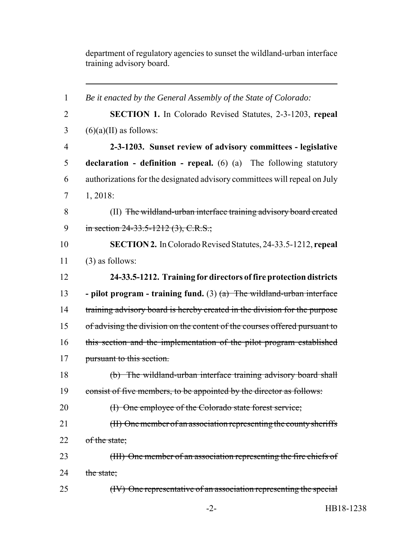department of regulatory agencies to sunset the wildland-urban interface training advisory board.

| $\mathbf{1}$   | Be it enacted by the General Assembly of the State of Colorado:                         |  |  |  |
|----------------|-----------------------------------------------------------------------------------------|--|--|--|
| $\overline{2}$ | <b>SECTION 1.</b> In Colorado Revised Statutes, 2-3-1203, repeal                        |  |  |  |
| 3              | $(6)(a)(II)$ as follows:                                                                |  |  |  |
| $\overline{4}$ | 2-3-1203. Sunset review of advisory committees - legislative                            |  |  |  |
| 5              | <b>declaration</b> - <b>definition</b> - <b>repeal.</b> (6) (a) The following statutory |  |  |  |
| 6              | authorizations for the designated advisory committees will repeal on July               |  |  |  |
| 7              | $1, 2018$ :                                                                             |  |  |  |
| 8              | (II) The wildland-urban interface training advisory board created                       |  |  |  |
| 9              | in section 24-33.5-1212 (3), C.R.S.;                                                    |  |  |  |
| 10             | <b>SECTION 2.</b> In Colorado Revised Statutes, 24-33.5-1212, repeal                    |  |  |  |
| 11             | $(3)$ as follows:                                                                       |  |  |  |
| 12             | 24-33.5-1212. Training for directors of fire protection districts                       |  |  |  |
| 13             | - pilot program - training fund. $(3)$ $(a)$ The wildland-urban interface               |  |  |  |
| 14             | training advisory board is hereby created in the division for the purpose               |  |  |  |
| 15             | of advising the division on the content of the courses offered pursuant to              |  |  |  |
| 16             | this section and the implementation of the pilot program established                    |  |  |  |
| 17             | pursuant to this section.                                                               |  |  |  |
| 18             | (b) The wildland-urban interface training advisory board shall                          |  |  |  |
| 19             | consist of five members, to be appointed by the director as follows:                    |  |  |  |
| 20             | (I) One employee of the Colorado state forest service;                                  |  |  |  |
| 21             | (II) One member of an association representing the county sheriffs                      |  |  |  |
| 22             | of the state;                                                                           |  |  |  |
| 23             | (III) One member of an association representing the fire chiefs of                      |  |  |  |
| 24             | the state;                                                                              |  |  |  |
| 25             | (IV) One representative of an association representing the special                      |  |  |  |
|                |                                                                                         |  |  |  |